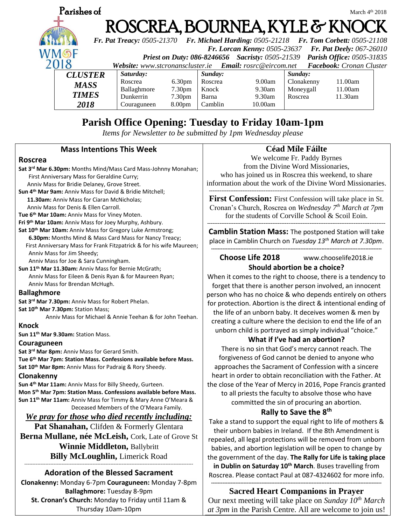

## **Parish Office Opening: Tuesday to Friday 10am-1pm**

*Items for Newsletter to be submitted by 1pm Wednesday please*

### **Mass Intentions This Week**

### **Roscrea**

**Sat 3rd Mar 6.30pm:** Months Mind/Mass Card Mass-Johnny Monahan; First Anniversary Mass for Geraldine Curry; Anniv Mass for Bridie Delaney, Grove Street. **Sun 4th Mar 9am:** Anniv Mass for David & Bridie Mitchell;  **11.30am:** Anniv Mass for Ciaran McNicholas; Anniv Mass for Denis & Ellen Carroll. **Tue 6th Mar 10am:** Anniv Mass for Viney Moten. **Fri 9th Mar 10am:** Anniv Mass for Joey Murphy, Ashbury. **Sat 10th Mar 10am:** Anniv Mass for Gregory Luke Armstrong;  **6.30pm:** Months Mind & Mass Card Mass for Nancy Treacy; First Anniversary Mass for Frank Fitzpatrick & for his wife Maureen; Anniv Mass for Jim Sheedy;

Anniv Mass for Joe & Sara Cunningham.

**Sun 11th Mar 11.30am:** Anniv Mass for Bernie McGrath; Anniv Mass for Eileen & Denis Ryan & for Maureen Ryan; Anniv Mass for Brendan McHugh.

### **Ballaghmore**

**Sat 3rd Mar 7.30pm:** Anniv Mass for Robert Phelan. **Sat 10th Mar 7.30pm:** Station Mass;

Anniv Mass for Michael & Annie Teehan & for John Teehan.

**Knock**

**Sun 11th Mar 9.30am:** Station Mass.

### **Couraguneen**

**Sat 3rd Mar 8pm:** Anniv Mass for Gerard Smith.

**Tue 6th Mar 7pm: Station Mass. Confessions available before Mass. Sat 10th Mar 8pm:** Anniv Mass for Padraig & Rory Sheedy.

### **Clonakenny**

**Sun 4th Mar 11am:** Anniv Mass for Billy Sheedy, Gurteen. **Mon 5th Mar 7pm: Station Mass. Confessions available before Mass. Sun 11th Mar 11am:** Anniv Mass for Timmy & Mary Anne O'Meara & Deceased Members of the O'Meara Family.

### *We pray for those who died recently including:*

Pat Shanahan, Clifden & Formerly Glentara

**Berna Mullane, née McLeish,** Cork, Late of Grove St **Winnie Middleton,** Ballybritt

**Billy McLoughlin,** Limerick Road

#### -------------------------------------------------------------------------------------------------------- **Adoration of the Blessed Sacrament**

**Clonakenny:** Monday 6-7pm **Couraguneen:** Monday 7-8pm **Ballaghmore:** Tuesday 8-9pm **St. Cronan's Church:** Monday to Friday until 11am & Thursday 10am-10pm

### **Céad Míle Fáilte**

We welcome Fr. Paddy Byrnes from the Divine Word Missionaries,

who has joined us in Roscrea this weekend, to share information about the work of the Divine Word Missionaries.

**---------------------------------------------------------------------------------------------------**

**First Confession:** First Confession will take place in St. Cronan's Church, Roscrea on *Wednesday 7th March at 7pm* for the students of Corville School & Scoil Eoin. **-----------------------------------------------------------------------------------------------------**

**Camblin Station Mass:** The postponed Station will take place in Camblin Church on *Tuesday 13th March at 7.30pm*.

### **--------------------------------------------------------------------------------------------------------- Choose Life 2018** www.chooselife2018.ie **Should abortion be a choice?**

When it comes to the right to choose, there is a tendency to forget that there is another person involved, an innocent person who has no choice & who depends entirely on others for protection. Abortion is the direct & intentional ending of the life of an unborn baby. It deceives women & men by creating a culture where the decision to end the life of an unborn child is portrayed as simply individual "choice."

### **What if I've had an abortion?**

There is no sin that God's mercy cannot reach. The forgiveness of God cannot be denied to anyone who approaches the Sacrament of Confession with a sincere heart in order to obtain reconciliation with the Father. At the close of the Year of Mercy in 2016, Pope Francis granted to all priests the faculty to absolve those who have committed the sin of procuring an abortion.

### **Rally to Save the 8th**

Take a stand to support the equal right to life of mothers & their unborn babies in Ireland. If the 8th Amendment is repealed, all legal protections will be removed from unborn babies, and abortion legislation will be open to change by the government of the day. **The Rally for Life is taking place in Dublin on Saturday 10th March**. Buses travelling from Roscrea. Please contact Paul at 087-4324602 for more info.

### **--------------------------------------------------------------------------------------------------------- Sacred Heart Companions in Prayer**

Our next meeting will take place on *Sunday 10th March at 3pm* in the Parish Centre. All are welcome to join us!